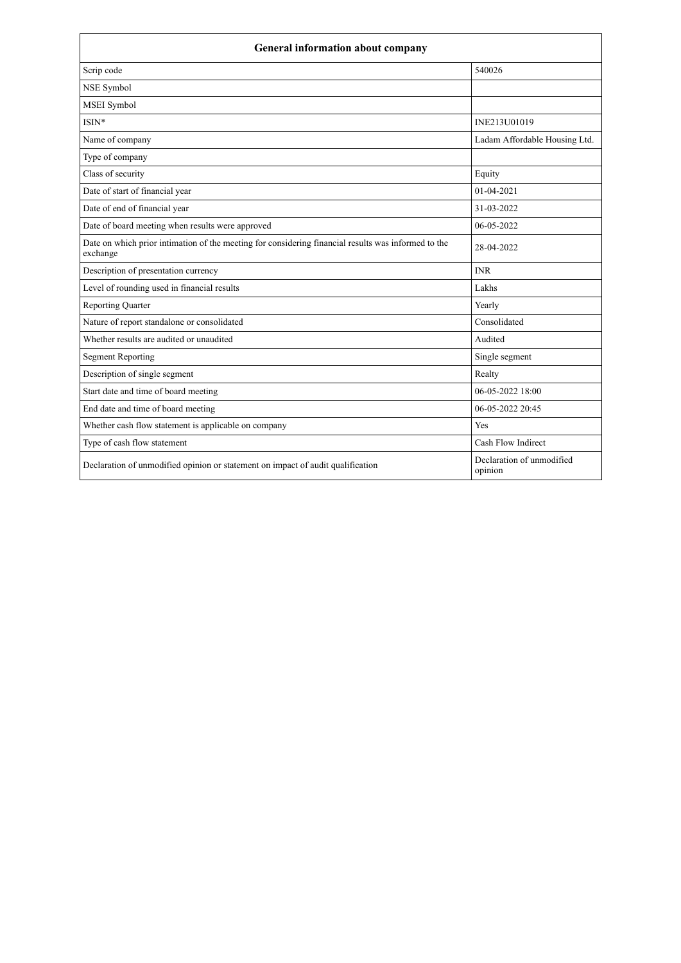| <b>General information about company</b>                                                                        |                                      |  |
|-----------------------------------------------------------------------------------------------------------------|--------------------------------------|--|
| Scrip code                                                                                                      | 540026                               |  |
| NSE Symbol                                                                                                      |                                      |  |
| MSEI Symbol                                                                                                     |                                      |  |
| $ISIN*$                                                                                                         | INE213U01019                         |  |
| Name of company                                                                                                 | Ladam Affordable Housing Ltd.        |  |
| Type of company                                                                                                 |                                      |  |
| Class of security                                                                                               | Equity                               |  |
| Date of start of financial year                                                                                 | 01-04-2021                           |  |
| Date of end of financial year                                                                                   | 31-03-2022                           |  |
| Date of board meeting when results were approved                                                                | 06-05-2022                           |  |
| Date on which prior intimation of the meeting for considering financial results was informed to the<br>exchange | 28-04-2022                           |  |
| Description of presentation currency                                                                            | <b>INR</b>                           |  |
| Level of rounding used in financial results                                                                     | Lakhs                                |  |
| <b>Reporting Quarter</b>                                                                                        | Yearly                               |  |
| Nature of report standalone or consolidated                                                                     | Consolidated                         |  |
| Whether results are audited or unaudited                                                                        | Audited                              |  |
| <b>Segment Reporting</b>                                                                                        | Single segment                       |  |
| Description of single segment                                                                                   | Realty                               |  |
| Start date and time of board meeting                                                                            | 06-05-2022 18:00                     |  |
| End date and time of board meeting                                                                              | 06-05-2022 20:45                     |  |
| Whether cash flow statement is applicable on company                                                            | Yes                                  |  |
| Type of cash flow statement                                                                                     | Cash Flow Indirect                   |  |
| Declaration of unmodified opinion or statement on impact of audit qualification                                 | Declaration of unmodified<br>opinion |  |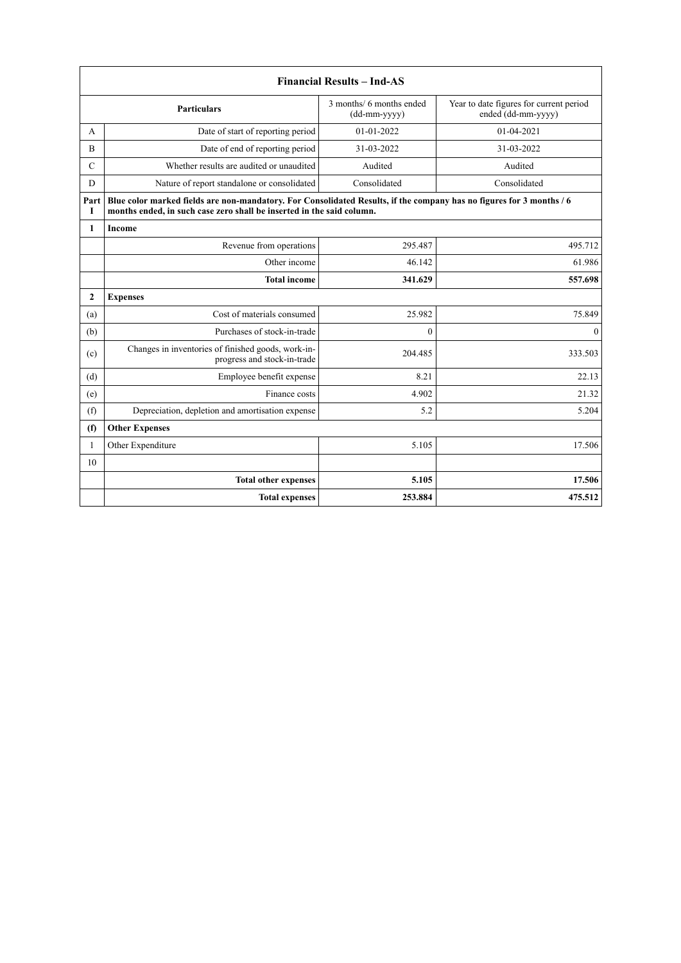|                | <b>Financial Results - Ind-AS</b>                                                                                                                                                             |              |              |  |  |  |
|----------------|-----------------------------------------------------------------------------------------------------------------------------------------------------------------------------------------------|--------------|--------------|--|--|--|
|                | 3 months/ 6 months ended<br>Year to date figures for current period<br>Particulars<br>ended (dd-mm-yyyy)<br>(dd-mm-yyyy)                                                                      |              |              |  |  |  |
| А              | Date of start of reporting period                                                                                                                                                             | 01-01-2022   | 01-04-2021   |  |  |  |
| $\overline{B}$ | Date of end of reporting period                                                                                                                                                               | 31-03-2022   | 31-03-2022   |  |  |  |
| $\mathcal{C}$  | Whether results are audited or unaudited                                                                                                                                                      | Audited      | Audited      |  |  |  |
| D              | Nature of report standalone or consolidated                                                                                                                                                   | Consolidated | Consolidated |  |  |  |
| Part<br>Т      | Blue color marked fields are non-mandatory. For Consolidated Results, if the company has no figures for 3 months / 6<br>months ended, in such case zero shall be inserted in the said column. |              |              |  |  |  |
| $\mathbf{1}$   | Income                                                                                                                                                                                        |              |              |  |  |  |
|                | Revenue from operations                                                                                                                                                                       | 295.487      | 495.712      |  |  |  |
|                | Other income                                                                                                                                                                                  | 46.142       | 61.986       |  |  |  |
|                | <b>Total income</b>                                                                                                                                                                           | 341.629      | 557.698      |  |  |  |
| $\overline{2}$ | <b>Expenses</b>                                                                                                                                                                               |              |              |  |  |  |
| (a)            | Cost of materials consumed                                                                                                                                                                    | 25.982       | 75.849       |  |  |  |
| (b)            | Purchases of stock-in-trade                                                                                                                                                                   | $\theta$     | $\theta$     |  |  |  |
| (c)            | Changes in inventories of finished goods, work-in-<br>progress and stock-in-trade                                                                                                             | 204.485      | 333.503      |  |  |  |
| (d)            | Employee benefit expense                                                                                                                                                                      | 8.21         | 22.13        |  |  |  |
| (e)            | Finance costs                                                                                                                                                                                 | 4.902        | 21.32        |  |  |  |
| (f)            | Depreciation, depletion and amortisation expense                                                                                                                                              | 5.2          | 5.204        |  |  |  |
| (f)            | <b>Other Expenses</b>                                                                                                                                                                         |              |              |  |  |  |
| $\mathbf{1}$   | Other Expenditure                                                                                                                                                                             | 5.105        | 17.506       |  |  |  |
| 10             |                                                                                                                                                                                               |              |              |  |  |  |
|                | <b>Total other expenses</b>                                                                                                                                                                   | 5.105        | 17.506       |  |  |  |
|                | <b>Total expenses</b>                                                                                                                                                                         | 253.884      | 475.512      |  |  |  |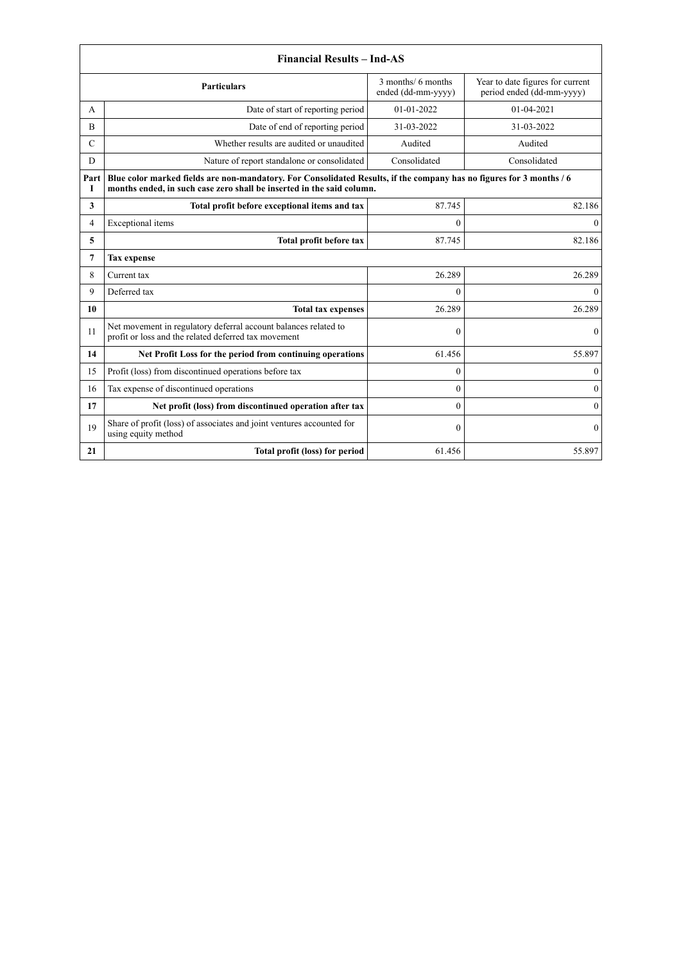|               | <b>Financial Results - Ind-AS</b>                                                                                                                                                             |                                          |                                                               |  |
|---------------|-----------------------------------------------------------------------------------------------------------------------------------------------------------------------------------------------|------------------------------------------|---------------------------------------------------------------|--|
|               | <b>Particulars</b>                                                                                                                                                                            | 3 months/ 6 months<br>ended (dd-mm-yyyy) | Year to date figures for current<br>period ended (dd-mm-yyyy) |  |
| А             | Date of start of reporting period                                                                                                                                                             | 01-01-2022                               | 01-04-2021                                                    |  |
| B             | Date of end of reporting period                                                                                                                                                               | 31-03-2022                               | 31-03-2022                                                    |  |
| $\mathcal{C}$ | Whether results are audited or unaudited                                                                                                                                                      | Audited                                  | Audited                                                       |  |
| D             | Nature of report standalone or consolidated                                                                                                                                                   | Consolidated                             | Consolidated                                                  |  |
| Part<br>I     | Blue color marked fields are non-mandatory. For Consolidated Results, if the company has no figures for 3 months / 6<br>months ended, in such case zero shall be inserted in the said column. |                                          |                                                               |  |
| 3             | Total profit before exceptional items and tax                                                                                                                                                 | 87.745                                   | 82.186                                                        |  |
| 4             | Exceptional items                                                                                                                                                                             | $\theta$                                 | $\mathbf{0}$                                                  |  |
| 5             | Total profit before tax                                                                                                                                                                       | 87.745                                   | 82.186                                                        |  |
| 7             | <b>Tax expense</b>                                                                                                                                                                            |                                          |                                                               |  |
| 8             | Current tax                                                                                                                                                                                   | 26.289                                   | 26.289                                                        |  |
| 9             | Deferred tax                                                                                                                                                                                  | $\theta$                                 | $\theta$                                                      |  |
| 10            | <b>Total tax expenses</b>                                                                                                                                                                     | 26.289                                   | 26.289                                                        |  |
| 11            | Net movement in regulatory deferral account balances related to<br>profit or loss and the related deferred tax movement                                                                       | $\mathbf{0}$                             | $\mathbf{0}$                                                  |  |
| 14            | Net Profit Loss for the period from continuing operations                                                                                                                                     | 61.456                                   | 55.897                                                        |  |
| 15            | Profit (loss) from discontinued operations before tax                                                                                                                                         | $\theta$                                 | $\mathbf{0}$                                                  |  |
| 16            | Tax expense of discontinued operations                                                                                                                                                        | $\theta$                                 | $\mathbf{0}$                                                  |  |
| 17            | Net profit (loss) from discontinued operation after tax                                                                                                                                       | $\Omega$                                 | $\mathbf{0}$                                                  |  |
| 19            | Share of profit (loss) of associates and joint ventures accounted for<br>using equity method                                                                                                  | $\theta$                                 | $\mathbf{0}$                                                  |  |
| 21            | Total profit (loss) for period                                                                                                                                                                | 61.456                                   | 55.897                                                        |  |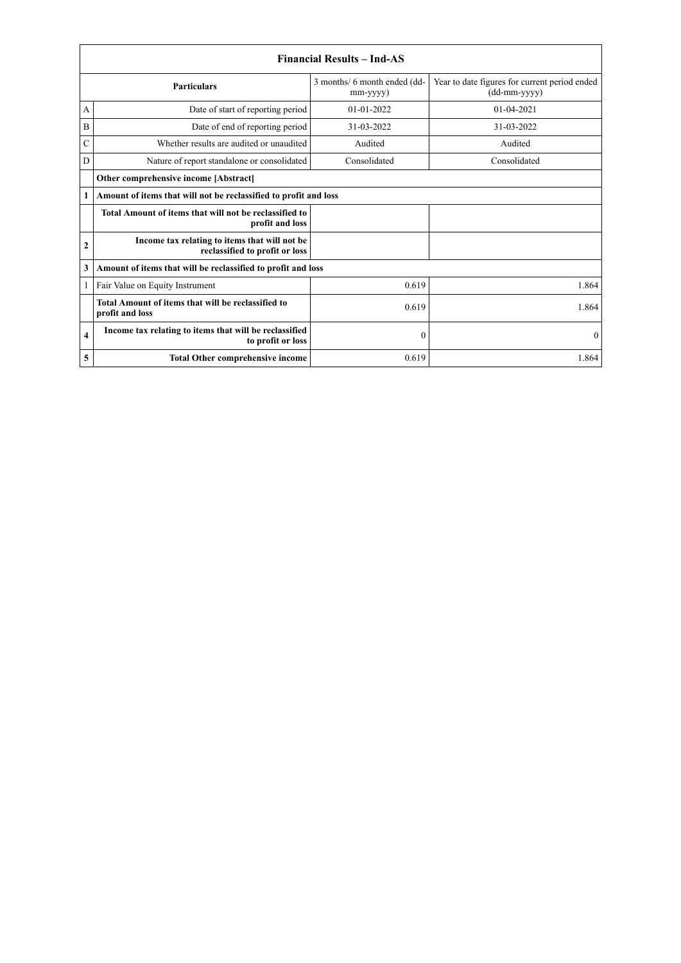|                    | <b>Financial Results – Ind-AS</b>                                               |                                          |                                                               |  |
|--------------------|---------------------------------------------------------------------------------|------------------------------------------|---------------------------------------------------------------|--|
| <b>Particulars</b> |                                                                                 | 3 months/ 6 month ended (dd-<br>mm-yyyy) | Year to date figures for current period ended<br>(dd-mm-yyyy) |  |
| А                  | Date of start of reporting period                                               | $01-01-2022$                             | $01 - 04 - 2021$                                              |  |
| B                  | Date of end of reporting period                                                 | 31-03-2022                               | 31-03-2022                                                    |  |
| C                  | Whether results are audited or unaudited                                        | Audited                                  | Audited                                                       |  |
| D                  | Nature of report standalone or consolidated                                     | Consolidated                             | Consolidated                                                  |  |
|                    | Other comprehensive income [Abstract]                                           |                                          |                                                               |  |
| 1                  | Amount of items that will not be reclassified to profit and loss                |                                          |                                                               |  |
|                    | Total Amount of items that will not be reclassified to<br>profit and loss       |                                          |                                                               |  |
| 2                  | Income tax relating to items that will not be<br>reclassified to profit or loss |                                          |                                                               |  |
| 3                  | Amount of items that will be reclassified to profit and loss                    |                                          |                                                               |  |
|                    | Fair Value on Equity Instrument                                                 | 0.619                                    | 1.864                                                         |  |
|                    | Total Amount of items that will be reclassified to<br>profit and loss           | 0.619                                    | 1.864                                                         |  |
| 4                  | Income tax relating to items that will be reclassified<br>to profit or loss     | $\mathbf{0}$                             | $\theta$                                                      |  |
| 5                  | <b>Total Other comprehensive income</b>                                         | 0.619                                    | 1.864                                                         |  |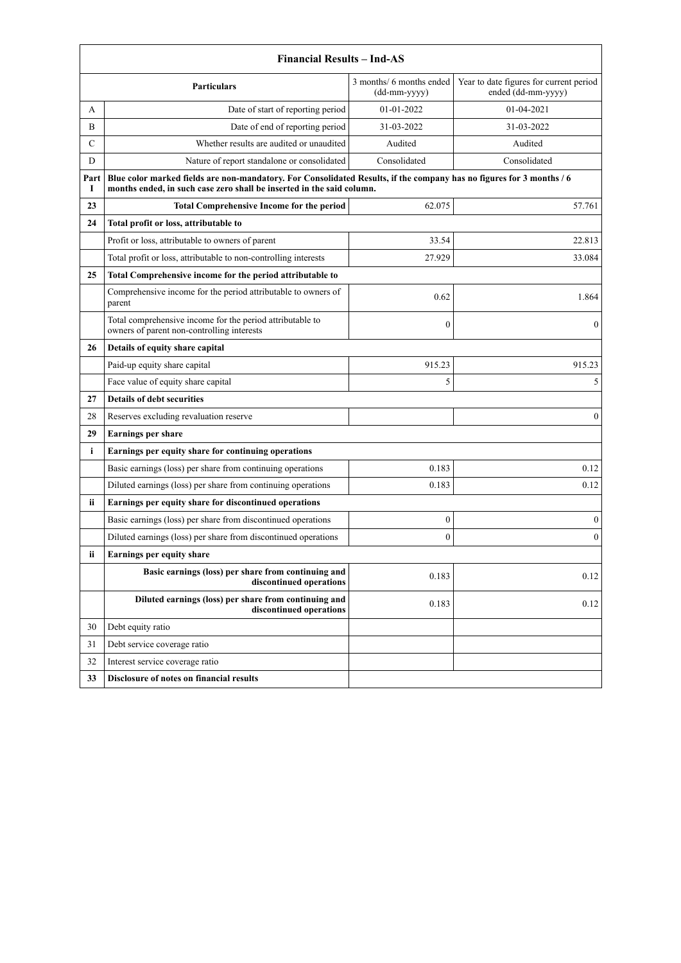|           | <b>Financial Results - Ind-AS</b>                                                                                                                                                             |                                            |                                                               |  |
|-----------|-----------------------------------------------------------------------------------------------------------------------------------------------------------------------------------------------|--------------------------------------------|---------------------------------------------------------------|--|
|           | <b>Particulars</b>                                                                                                                                                                            | 3 months/ 6 months ended<br>$(dd-mm-yyyy)$ | Year to date figures for current period<br>ended (dd-mm-yyyy) |  |
| A         | Date of start of reporting period                                                                                                                                                             | 01-01-2022                                 | 01-04-2021                                                    |  |
| B         | Date of end of reporting period                                                                                                                                                               | 31-03-2022                                 | 31-03-2022                                                    |  |
| С         | Whether results are audited or unaudited                                                                                                                                                      | Audited                                    | Audited                                                       |  |
| D         | Nature of report standalone or consolidated                                                                                                                                                   | Consolidated                               | Consolidated                                                  |  |
| Part<br>1 | Blue color marked fields are non-mandatory. For Consolidated Results, if the company has no figures for 3 months / 6<br>months ended, in such case zero shall be inserted in the said column. |                                            |                                                               |  |
| 23        | <b>Total Comprehensive Income for the period</b>                                                                                                                                              | 62.075                                     | 57.761                                                        |  |
| 24        | Total profit or loss, attributable to                                                                                                                                                         |                                            |                                                               |  |
|           | Profit or loss, attributable to owners of parent                                                                                                                                              | 33.54                                      | 22.813                                                        |  |
|           | Total profit or loss, attributable to non-controlling interests                                                                                                                               | 27.929                                     | 33.084                                                        |  |
| 25        | Total Comprehensive income for the period attributable to                                                                                                                                     |                                            |                                                               |  |
|           | Comprehensive income for the period attributable to owners of<br>parent                                                                                                                       | 0.62                                       | 1.864                                                         |  |
|           | Total comprehensive income for the period attributable to<br>owners of parent non-controlling interests                                                                                       | $\boldsymbol{0}$                           | $\mathbf{0}$                                                  |  |
| 26        | Details of equity share capital                                                                                                                                                               |                                            |                                                               |  |
|           | Paid-up equity share capital                                                                                                                                                                  | 915.23                                     | 915.23                                                        |  |
|           | Face value of equity share capital                                                                                                                                                            | 5                                          | 5                                                             |  |
| 27        | <b>Details of debt securities</b>                                                                                                                                                             |                                            |                                                               |  |
| 28        | Reserves excluding revaluation reserve                                                                                                                                                        |                                            | $\theta$                                                      |  |
| 29        | <b>Earnings per share</b>                                                                                                                                                                     |                                            |                                                               |  |
| i         | Earnings per equity share for continuing operations                                                                                                                                           |                                            |                                                               |  |
|           | Basic earnings (loss) per share from continuing operations                                                                                                                                    | 0.183                                      | 0.12                                                          |  |
|           | Diluted earnings (loss) per share from continuing operations                                                                                                                                  | 0.183                                      | 0.12                                                          |  |
| ii.       | Earnings per equity share for discontinued operations                                                                                                                                         |                                            |                                                               |  |
|           | Basic earnings (loss) per share from discontinued operations                                                                                                                                  | $\boldsymbol{0}$                           | $\boldsymbol{0}$                                              |  |
|           | Diluted earnings (loss) per share from discontinued operations                                                                                                                                | $\mathbf{0}$                               | $\mathbf{0}$                                                  |  |
| ii        | Earnings per equity share                                                                                                                                                                     |                                            |                                                               |  |
|           | Basic earnings (loss) per share from continuing and<br>discontinued operations                                                                                                                | 0.183                                      | 0.12                                                          |  |
|           | Diluted earnings (loss) per share from continuing and<br>discontinued operations                                                                                                              | 0.183                                      | 0.12                                                          |  |
| 30        | Debt equity ratio                                                                                                                                                                             |                                            |                                                               |  |
| 31        | Debt service coverage ratio                                                                                                                                                                   |                                            |                                                               |  |
| 32        | Interest service coverage ratio                                                                                                                                                               |                                            |                                                               |  |
| 33        | Disclosure of notes on financial results                                                                                                                                                      |                                            |                                                               |  |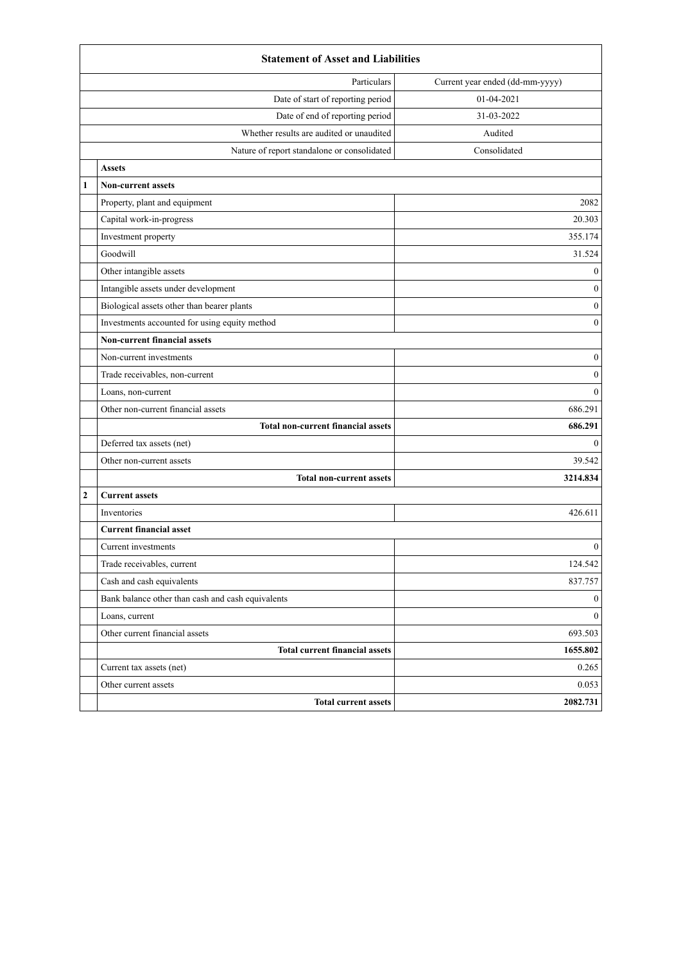|              | <b>Statement of Asset and Liabilities</b>         |                  |  |  |
|--------------|---------------------------------------------------|------------------|--|--|
|              | Current year ended (dd-mm-yyyy)<br>Particulars    |                  |  |  |
|              | Date of start of reporting period                 | 01-04-2021       |  |  |
|              | Date of end of reporting period                   | 31-03-2022       |  |  |
|              | Whether results are audited or unaudited          | Audited          |  |  |
|              | Nature of report standalone or consolidated       | Consolidated     |  |  |
|              | <b>Assets</b>                                     |                  |  |  |
| $\mathbf{1}$ | <b>Non-current assets</b>                         |                  |  |  |
|              | Property, plant and equipment                     | 2082             |  |  |
|              | Capital work-in-progress                          | 20.303           |  |  |
|              | Investment property                               | 355.174          |  |  |
|              | Goodwill                                          | 31.524           |  |  |
|              | Other intangible assets                           | $\boldsymbol{0}$ |  |  |
|              | Intangible assets under development               | $\boldsymbol{0}$ |  |  |
|              | Biological assets other than bearer plants        | $\boldsymbol{0}$ |  |  |
|              | Investments accounted for using equity method     | $\boldsymbol{0}$ |  |  |
|              | <b>Non-current financial assets</b>               |                  |  |  |
|              | Non-current investments                           | $\boldsymbol{0}$ |  |  |
|              | Trade receivables, non-current                    | $\boldsymbol{0}$ |  |  |
|              | Loans, non-current                                | $\mathbf{0}$     |  |  |
|              | Other non-current financial assets                | 686.291          |  |  |
|              | <b>Total non-current financial assets</b>         | 686.291          |  |  |
|              | Deferred tax assets (net)                         | $\mathbf{0}$     |  |  |
|              | Other non-current assets                          | 39.542           |  |  |
|              | <b>Total non-current assets</b>                   | 3214.834         |  |  |
| $\mathbf{2}$ | <b>Current assets</b>                             |                  |  |  |
|              | Inventories                                       | 426.611          |  |  |
|              | <b>Current financial asset</b>                    |                  |  |  |
|              | Current investments                               | $\boldsymbol{0}$ |  |  |
|              | Trade receivables, current                        | 124.542          |  |  |
|              | Cash and cash equivalents                         | 837.757          |  |  |
|              | Bank balance other than cash and cash equivalents | $\bf{0}$         |  |  |
|              | Loans, current                                    | $\boldsymbol{0}$ |  |  |
|              | Other current financial assets                    | 693.503          |  |  |
|              | <b>Total current financial assets</b>             | 1655.802         |  |  |
|              | Current tax assets (net)                          | 0.265            |  |  |
|              | Other current assets                              | 0.053            |  |  |
|              | <b>Total current assets</b>                       | 2082.731         |  |  |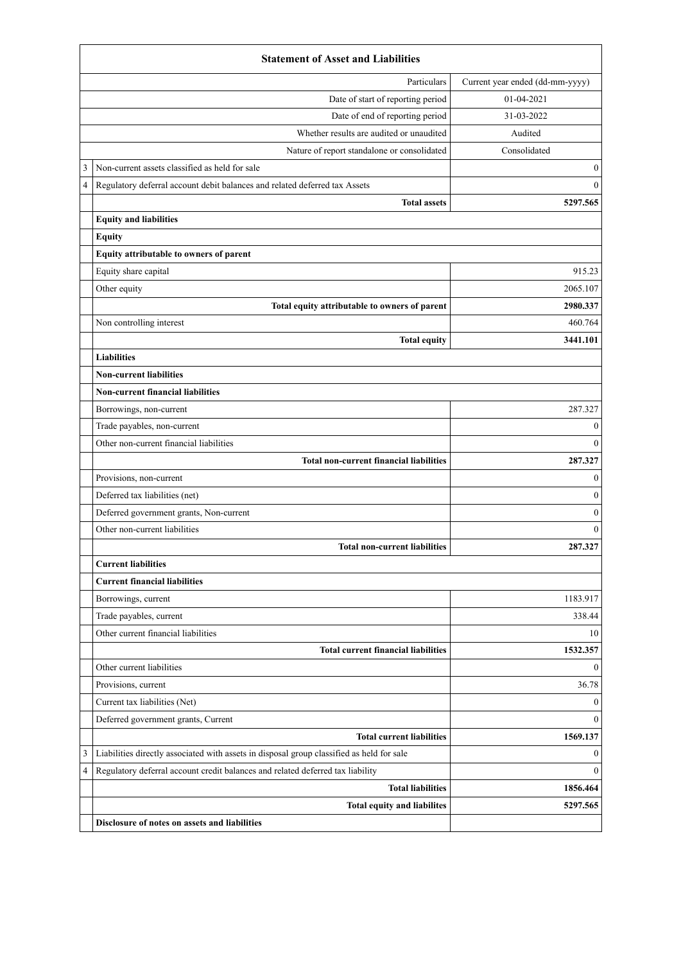|   | <b>Statement of Asset and Liabilities</b>                                                 |                                 |  |  |
|---|-------------------------------------------------------------------------------------------|---------------------------------|--|--|
|   | Particulars                                                                               | Current year ended (dd-mm-yyyy) |  |  |
|   | Date of start of reporting period                                                         | 01-04-2021                      |  |  |
|   | Date of end of reporting period                                                           | 31-03-2022                      |  |  |
|   | Whether results are audited or unaudited                                                  | Audited                         |  |  |
|   | Nature of report standalone or consolidated                                               | Consolidated                    |  |  |
| 3 | Non-current assets classified as held for sale                                            | $\boldsymbol{0}$                |  |  |
| 4 | Regulatory deferral account debit balances and related deferred tax Assets                | $\mathbf{0}$                    |  |  |
|   | <b>Total assets</b>                                                                       | 5297.565                        |  |  |
|   | <b>Equity and liabilities</b>                                                             |                                 |  |  |
|   | <b>Equity</b>                                                                             |                                 |  |  |
|   | Equity attributable to owners of parent                                                   |                                 |  |  |
|   | Equity share capital                                                                      | 915.23                          |  |  |
|   | Other equity                                                                              | 2065.107                        |  |  |
|   | Total equity attributable to owners of parent                                             | 2980.337                        |  |  |
|   | Non controlling interest                                                                  | 460.764                         |  |  |
|   | <b>Total equity</b>                                                                       | 3441.101                        |  |  |
|   | <b>Liabilities</b>                                                                        |                                 |  |  |
|   | <b>Non-current liabilities</b>                                                            |                                 |  |  |
|   | <b>Non-current financial liabilities</b>                                                  |                                 |  |  |
|   | Borrowings, non-current                                                                   | 287.327                         |  |  |
|   | Trade payables, non-current                                                               | $\boldsymbol{0}$                |  |  |
|   | Other non-current financial liabilities                                                   | $\theta$                        |  |  |
|   | <b>Total non-current financial liabilities</b>                                            | 287.327                         |  |  |
|   | Provisions, non-current                                                                   | $\theta$                        |  |  |
|   | Deferred tax liabilities (net)                                                            | $\mathbf{0}$                    |  |  |
|   | Deferred government grants, Non-current                                                   | $\boldsymbol{0}$                |  |  |
|   | Other non-current liabilities                                                             | $\theta$                        |  |  |
|   | <b>Total non-current liabilities</b>                                                      | 287.327                         |  |  |
|   | <b>Current liabilities</b>                                                                |                                 |  |  |
|   | <b>Current financial liabilities</b>                                                      |                                 |  |  |
|   | Borrowings, current                                                                       | 1183.917                        |  |  |
|   | Trade payables, current                                                                   | 338.44                          |  |  |
|   | Other current financial liabilities                                                       | 10                              |  |  |
|   | <b>Total current financial liabilities</b>                                                | 1532.357                        |  |  |
|   | Other current liabilities                                                                 | $\mathbf{0}$                    |  |  |
|   | Provisions, current                                                                       | 36.78                           |  |  |
|   | Current tax liabilities (Net)                                                             | $\mathbf{0}$                    |  |  |
|   | Deferred government grants, Current                                                       | $\theta$                        |  |  |
|   | <b>Total current liabilities</b>                                                          | 1569.137                        |  |  |
| 3 | Liabilities directly associated with assets in disposal group classified as held for sale | $\mathbf{0}$                    |  |  |
| 4 | Regulatory deferral account credit balances and related deferred tax liability            | $\Omega$                        |  |  |
|   | <b>Total liabilities</b>                                                                  | 1856.464                        |  |  |
|   | Total equity and liabilites                                                               | 5297.565                        |  |  |
|   | Disclosure of notes on assets and liabilities                                             |                                 |  |  |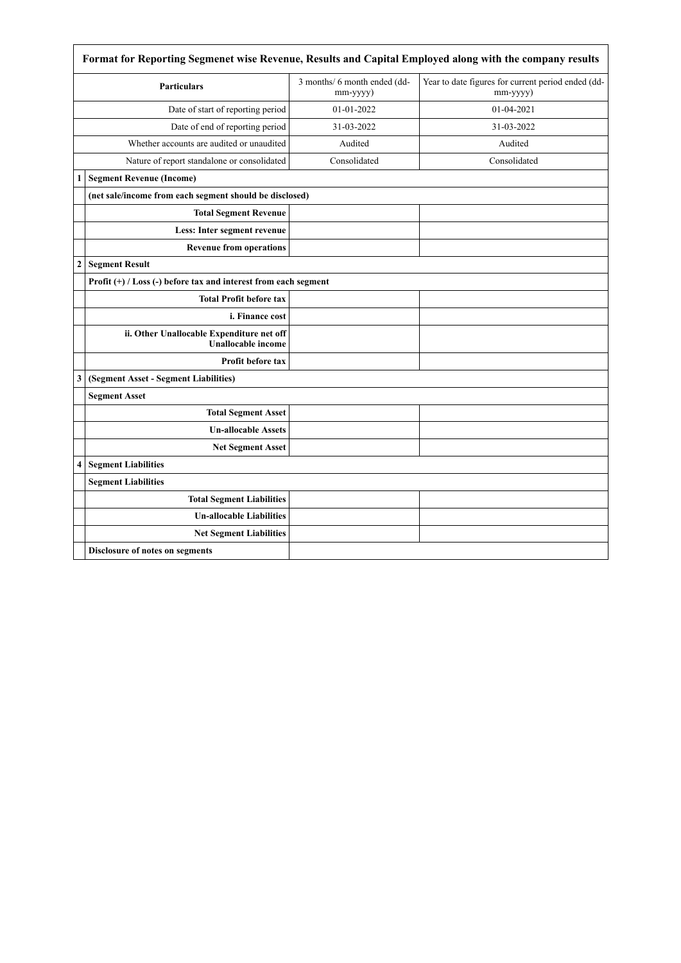|                  | Format for Reporting Segmenet wise Revenue, Results and Capital Employed along with the company results |                                          |                                                                |  |
|------------------|---------------------------------------------------------------------------------------------------------|------------------------------------------|----------------------------------------------------------------|--|
|                  | <b>Particulars</b>                                                                                      | 3 months/ 6 month ended (dd-<br>mm-yyyy) | Year to date figures for current period ended (dd-<br>mm-yyyy) |  |
|                  | Date of start of reporting period                                                                       | 01-01-2022                               | 01-04-2021                                                     |  |
|                  | Date of end of reporting period                                                                         | 31-03-2022                               | 31-03-2022                                                     |  |
|                  | Whether accounts are audited or unaudited                                                               | Audited                                  | Audited                                                        |  |
|                  | Nature of report standalone or consolidated                                                             | Consolidated                             | Consolidated                                                   |  |
| 1                | <b>Segment Revenue (Income)</b>                                                                         |                                          |                                                                |  |
|                  | (net sale/income from each segment should be disclosed)                                                 |                                          |                                                                |  |
|                  | <b>Total Segment Revenue</b>                                                                            |                                          |                                                                |  |
|                  | Less: Inter segment revenue                                                                             |                                          |                                                                |  |
|                  | <b>Revenue from operations</b>                                                                          |                                          |                                                                |  |
| $\boldsymbol{2}$ | <b>Segment Result</b>                                                                                   |                                          |                                                                |  |
|                  | Profit $(+)$ / Loss $(-)$ before tax and interest from each segment                                     |                                          |                                                                |  |
|                  | <b>Total Profit before tax</b>                                                                          |                                          |                                                                |  |
|                  | i. Finance cost                                                                                         |                                          |                                                                |  |
|                  | ii. Other Unallocable Expenditure net off<br><b>Unallocable income</b>                                  |                                          |                                                                |  |
|                  | <b>Profit before tax</b>                                                                                |                                          |                                                                |  |
| 3                | (Segment Asset - Segment Liabilities)                                                                   |                                          |                                                                |  |
|                  | <b>Segment Asset</b>                                                                                    |                                          |                                                                |  |
|                  | <b>Total Segment Asset</b>                                                                              |                                          |                                                                |  |
|                  | <b>Un-allocable Assets</b>                                                                              |                                          |                                                                |  |
|                  | <b>Net Segment Asset</b>                                                                                |                                          |                                                                |  |
| 4                | <b>Segment Liabilities</b>                                                                              |                                          |                                                                |  |
|                  | <b>Segment Liabilities</b>                                                                              |                                          |                                                                |  |
|                  | <b>Total Segment Liabilities</b>                                                                        |                                          |                                                                |  |
|                  | <b>Un-allocable Liabilities</b>                                                                         |                                          |                                                                |  |
|                  | <b>Net Segment Liabilities</b>                                                                          |                                          |                                                                |  |
|                  | Disclosure of notes on segments                                                                         |                                          |                                                                |  |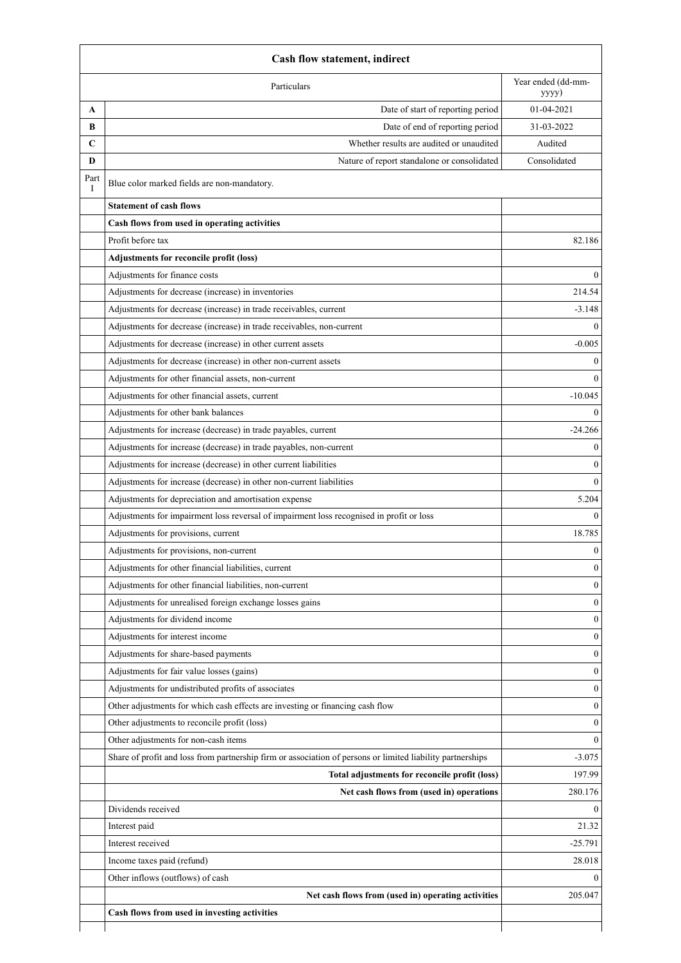|           | <b>Cash flow statement, indirect</b>                                                                       |                  |  |  |
|-----------|------------------------------------------------------------------------------------------------------------|------------------|--|--|
|           | Year ended (dd-mm-<br>Particulars<br>yyyy)                                                                 |                  |  |  |
| A         | Date of start of reporting period                                                                          | 01-04-2021       |  |  |
| B         | Date of end of reporting period                                                                            | 31-03-2022       |  |  |
| C         | Whether results are audited or unaudited                                                                   | Audited          |  |  |
| D         | Nature of report standalone or consolidated                                                                | Consolidated     |  |  |
| Part<br>I | Blue color marked fields are non-mandatory.                                                                |                  |  |  |
|           | <b>Statement of cash flows</b>                                                                             |                  |  |  |
|           | Cash flows from used in operating activities                                                               |                  |  |  |
|           | Profit before tax                                                                                          | 82.186           |  |  |
|           | Adjustments for reconcile profit (loss)                                                                    |                  |  |  |
|           | Adjustments for finance costs                                                                              | $\theta$         |  |  |
|           | Adjustments for decrease (increase) in inventories                                                         | 214.54           |  |  |
|           | Adjustments for decrease (increase) in trade receivables, current                                          | $-3.148$         |  |  |
|           | Adjustments for decrease (increase) in trade receivables, non-current                                      |                  |  |  |
|           | Adjustments for decrease (increase) in other current assets                                                | $-0.005$         |  |  |
|           | Adjustments for decrease (increase) in other non-current assets                                            | $\mathbf{0}$     |  |  |
|           | Adjustments for other financial assets, non-current                                                        | $\theta$         |  |  |
|           | Adjustments for other financial assets, current                                                            | $-10.045$        |  |  |
|           | Adjustments for other bank balances                                                                        | $\theta$         |  |  |
|           | Adjustments for increase (decrease) in trade payables, current                                             | $-24.266$        |  |  |
|           | Adjustments for increase (decrease) in trade payables, non-current                                         | $\mathbf{0}$     |  |  |
|           | Adjustments for increase (decrease) in other current liabilities                                           | $\theta$         |  |  |
|           | Adjustments for increase (decrease) in other non-current liabilities                                       | $\theta$         |  |  |
|           | Adjustments for depreciation and amortisation expense                                                      | 5.204            |  |  |
|           | Adjustments for impairment loss reversal of impairment loss recognised in profit or loss                   | $\Omega$         |  |  |
|           | Adjustments for provisions, current                                                                        | 18.785           |  |  |
|           | Adjustments for provisions, non-current                                                                    | $\boldsymbol{0}$ |  |  |
|           | Adjustments for other financial liabilities, current                                                       | $\mathbf{0}$     |  |  |
|           | Adjustments for other financial liabilities, non-current                                                   | $\theta$         |  |  |
|           | Adjustments for unrealised foreign exchange losses gains                                                   | $\theta$         |  |  |
|           | Adjustments for dividend income                                                                            | $\theta$         |  |  |
|           | Adjustments for interest income                                                                            | $\mathbf{0}$     |  |  |
|           | Adjustments for share-based payments                                                                       | $\mathbf{0}$     |  |  |
|           | Adjustments for fair value losses (gains)                                                                  | $\theta$         |  |  |
|           | Adjustments for undistributed profits of associates                                                        | $\mathbf{0}$     |  |  |
|           | Other adjustments for which cash effects are investing or financing cash flow                              | $\boldsymbol{0}$ |  |  |
|           | Other adjustments to reconcile profit (loss)                                                               | $\overline{0}$   |  |  |
|           | Other adjustments for non-cash items                                                                       | $\theta$         |  |  |
|           | Share of profit and loss from partnership firm or association of persons or limited liability partnerships | $-3.075$         |  |  |
|           | Total adjustments for reconcile profit (loss)                                                              | 197.99           |  |  |
|           | Net cash flows from (used in) operations                                                                   | 280.176          |  |  |
|           | Dividends received                                                                                         | $\Omega$         |  |  |
|           | Interest paid                                                                                              | 21.32            |  |  |
|           | Interest received                                                                                          | $-25.791$        |  |  |
|           | Income taxes paid (refund)                                                                                 | 28.018           |  |  |
|           | Other inflows (outflows) of cash                                                                           | $\theta$         |  |  |
|           | Net cash flows from (used in) operating activities                                                         | 205.047          |  |  |
|           | Cash flows from used in investing activities                                                               |                  |  |  |
|           |                                                                                                            |                  |  |  |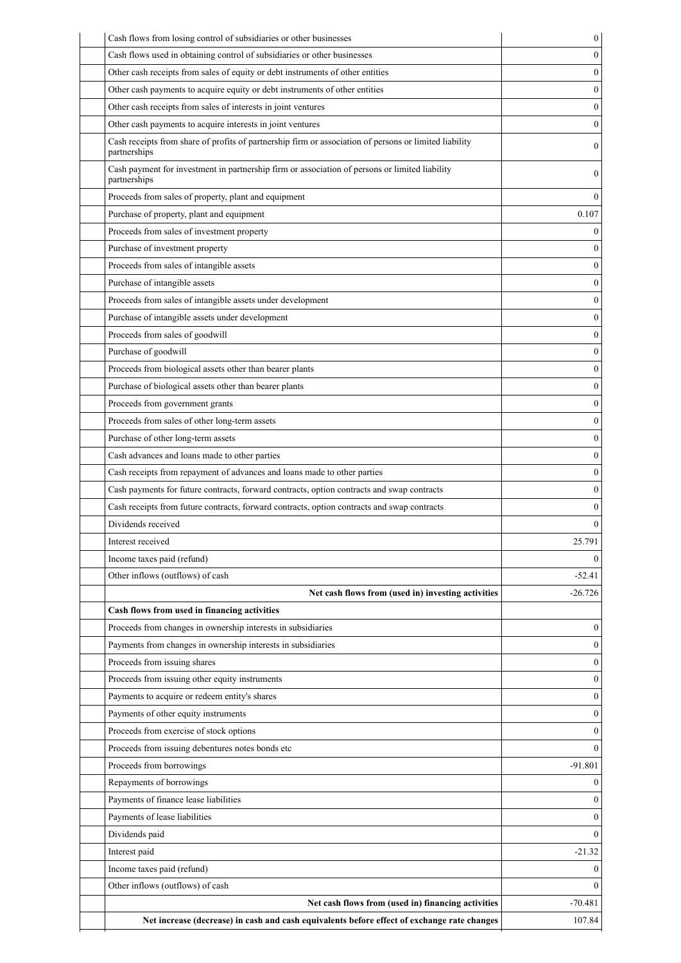| Cash flows used in obtaining control of subsidiaries or other businesses<br>Other cash receipts from sales of equity or debt instruments of other entities | 0<br>0       |
|------------------------------------------------------------------------------------------------------------------------------------------------------------|--------------|
|                                                                                                                                                            |              |
|                                                                                                                                                            |              |
| Other cash payments to acquire equity or debt instruments of other entities                                                                                | 0            |
| Other cash receipts from sales of interests in joint ventures                                                                                              | $\theta$     |
| Other cash payments to acquire interests in joint ventures                                                                                                 | $\theta$     |
| Cash receipts from share of profits of partnership firm or association of persons or limited liability<br>partnerships                                     | 0            |
| Cash payment for investment in partnership firm or association of persons or limited liability<br>partnerships                                             | $\mathbf{0}$ |
| Proceeds from sales of property, plant and equipment                                                                                                       | 0            |
| Purchase of property, plant and equipment                                                                                                                  | 0.107        |
| Proceeds from sales of investment property                                                                                                                 | $^{(1)}$     |
| Purchase of investment property                                                                                                                            | 0            |
| Proceeds from sales of intangible assets                                                                                                                   | $\theta$     |
| Purchase of intangible assets                                                                                                                              | $\theta$     |
| Proceeds from sales of intangible assets under development                                                                                                 | $\theta$     |
| Purchase of intangible assets under development                                                                                                            | 0            |
| Proceeds from sales of goodwill                                                                                                                            | 0            |
| Purchase of goodwill                                                                                                                                       | $\theta$     |
| Proceeds from biological assets other than bearer plants                                                                                                   | $\theta$     |
| Purchase of biological assets other than bearer plants                                                                                                     | $\theta$     |
| Proceeds from government grants                                                                                                                            | $\theta$     |
| Proceeds from sales of other long-term assets                                                                                                              | $\mathbf{0}$ |
| Purchase of other long-term assets                                                                                                                         | $\theta$     |
| Cash advances and loans made to other parties                                                                                                              | 0            |
| Cash receipts from repayment of advances and loans made to other parties                                                                                   | $\theta$     |
| Cash payments for future contracts, forward contracts, option contracts and swap contracts                                                                 | $\theta$     |
| Cash receipts from future contracts, forward contracts, option contracts and swap contracts                                                                | 0            |
| Dividends received                                                                                                                                         | 0            |
| Interest received                                                                                                                                          | 25.791       |
| Income taxes paid (refund)                                                                                                                                 | 0            |
| Other inflows (outflows) of cash                                                                                                                           | $-52.41$     |
| Net cash flows from (used in) investing activities                                                                                                         | $-26.726$    |
| Cash flows from used in financing activities                                                                                                               |              |
| Proceeds from changes in ownership interests in subsidiaries                                                                                               | $\mathbf{0}$ |
| Payments from changes in ownership interests in subsidiaries                                                                                               | $\theta$     |
| Proceeds from issuing shares                                                                                                                               | $\theta$     |
| Proceeds from issuing other equity instruments                                                                                                             | 0            |
| Payments to acquire or redeem entity's shares                                                                                                              | $\theta$     |
| Payments of other equity instruments                                                                                                                       | 0            |
| Proceeds from exercise of stock options                                                                                                                    | $\theta$     |
| Proceeds from issuing debentures notes bonds etc                                                                                                           | $\theta$     |
| Proceeds from borrowings                                                                                                                                   | $-91.801$    |
| Repayments of borrowings                                                                                                                                   | 0            |
| Payments of finance lease liabilities                                                                                                                      | $\theta$     |
| Payments of lease liabilities                                                                                                                              | 0            |
| Dividends paid                                                                                                                                             | $\theta$     |
| Interest paid                                                                                                                                              | $-21.32$     |
| Income taxes paid (refund)                                                                                                                                 | 0            |
| Other inflows (outflows) of cash                                                                                                                           | 0            |
| Net cash flows from (used in) financing activities                                                                                                         | $-70.481$    |